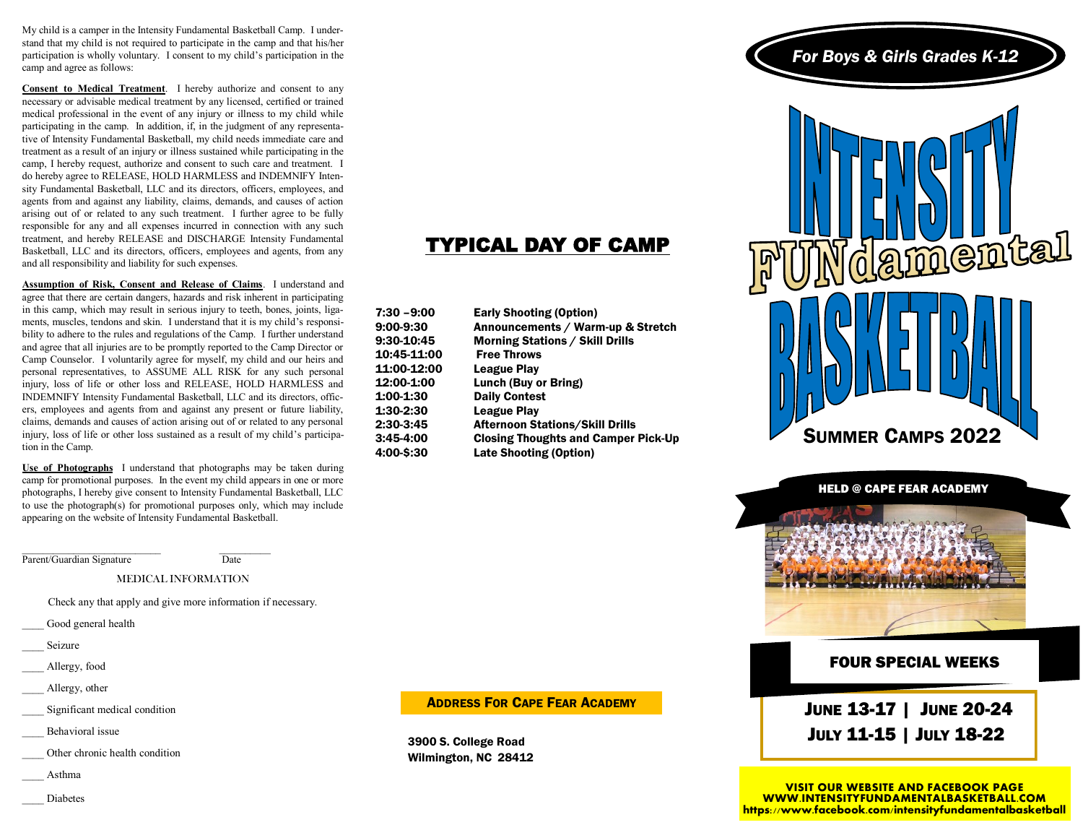My child is a camper in the Intensity Fundamental Basketball Camp. I understand that my child is not required to participate in the camp and that his/her participation is wholly voluntary. I consent to my child's participation in the camp and agree as follows:

**Consent to Medical Treatment**. I hereby authorize and consent to any necessary or advisable medical treatment by any licensed, certified or trained medical professional in the event of any injury or illness to my child while participating in the camp. In addition, if, in the judgment of any representative of Intensity Fundamental Basketball, my child needs immediate care and treatment as a result of an injury or illness sustained while participating in the camp, I hereby request, authorize and consent to such care and treatment. I do hereby agree to RELEASE, HOLD HARMLESS and INDEMNIFY Intensity Fundamental Basketball, LLC and its directors, officers, employees, and agents from and against any liability, claims, demands, and causes of action arising out of or related to any such treatment. I further agree to be fully responsible for any and all expenses incurred in connection with any such treatment, and hereby RELEASE and DISCHARGE Intensity Fundamental Basketball, LLC and its directors, officers, employees and agents, from any and all responsibility and liability for such expenses.

**Assumption of Risk, Consent and Release of Claims**. I understand and agree that there are certain dangers, hazards and risk inherent in participating in this camp, which may result in serious injury to teeth, bones, joints, ligaments, muscles, tendons and skin. I understand that it is my child's responsibility to adhere to the rules and regulations of the Camp. I further understand and agree that all injuries are to be promptly reported to the Camp Director or Camp Counselor. I voluntarily agree for myself, my child and our heirs and personal representatives, to ASSUME ALL RISK for any such personal injury, loss of life or other loss and RELEASE, HOLD HARMLESS and INDEMNIFY Intensity Fundamental Basketball, LLC and its directors, officers, employees and agents from and against any present or future liability, claims, demands and causes of action arising out of or related to any personal injury, loss of life or other loss sustained as a result of my child's participation in the Camp.

**Use of Photographs** I understand that photographs may be taken during camp for promotional purposes. In the event my child appears in one or more photographs, I hereby give consent to Intensity Fundamental Basketball, LLC to use the photograph(s) for promotional purposes only, which may include appearing on the website of Intensity Fundamental Basketball.

 $\mathcal{L}_\text{max}$  , and the set of the set of the set of the set of the set of the set of the set of the set of the set of the set of the set of the set of the set of the set of the set of the set of the set of the set of the Parent/Guardian Signature Date

MEDICAL INFORMATION

Check any that apply and give more information if necessary.

Good general health

- Seizure
- Allergy, food
- Allergy, other
- Significant medical condition
- \_\_\_\_ Behavioral issue
- Other chronic health condition
- \_\_\_\_ Asthma
	- \_\_\_\_ Diabetes

# TYPICAL DAY OF CAMP

| 7:30 –9:00         | <b>Early Shooting (Option)</b>             |
|--------------------|--------------------------------------------|
| 9:00-9:30          | Announcements / Warm-up & Stretch          |
| 9:30-10:45         | <b>Morning Stations / Skill Drills</b>     |
| 10:45-11:00        | <b>Free Throws</b>                         |
| <b>11:00-12:00</b> | <b>League Play</b>                         |
| <b>12:00-1:00</b>  | Lunch (Buy or Bring)                       |
| 1:00-1:30          | <b>Daily Contest</b>                       |
| 1:30-2:30          | <b>League Play</b>                         |
| 2:30-3:45          | <b>Afternoon Stations/Skill Drills</b>     |
| 3:45-4:00          | <b>Closing Thoughts and Camper Pick-Up</b> |
| <b>4:00-\$:30</b>  | <b>Late Shooting (Option)</b>              |

#### ADDRESS FOR CAPE FEAR ACADEMY

3900 S. College Road Wilmington, NC 28412



SUMMER CAMPS 2022



### FOUR SPECIAL WEEKS

 JUNE 13-17 | JUNE 20-24 JULY 11-15 | JULY 18-22

**VISIT OUR WEBSITE AND FACEBOOK PAGE WWW.INTENSITYFUNDAMENTALBASKETBALL.COM https://www.facebook.com/intensityfundamentalbasketball**